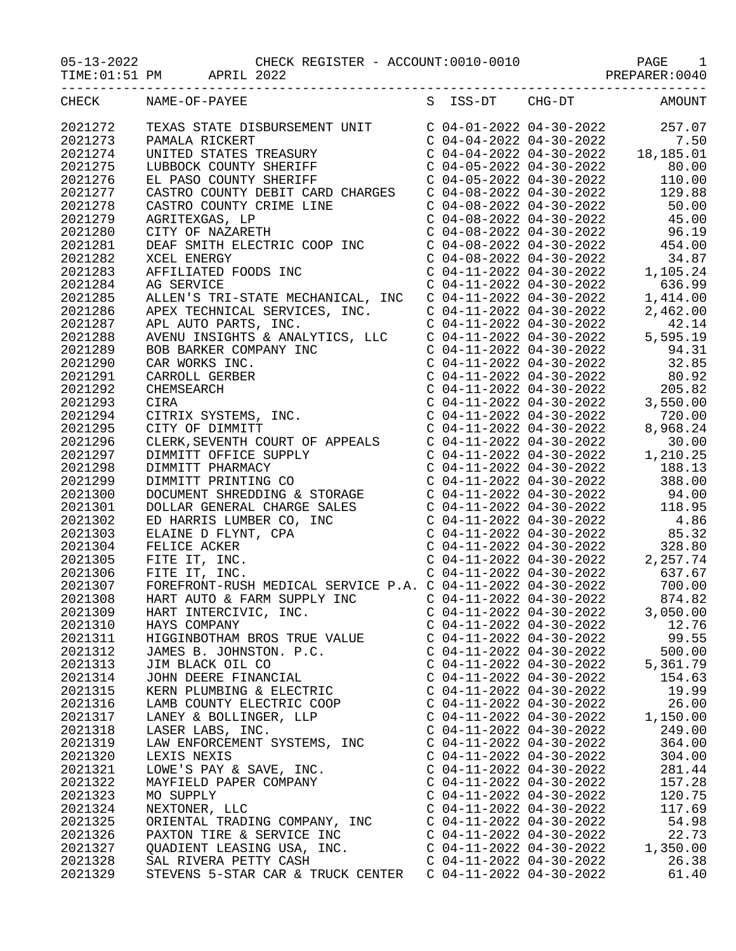| CHECK   | NAME-OF-PAYEE                                                                                                                                                                                                                                    |                           |                           | S ISS-DT CHG-DT AMOUNT |
|---------|--------------------------------------------------------------------------------------------------------------------------------------------------------------------------------------------------------------------------------------------------|---------------------------|---------------------------|------------------------|
| 2021272 | TEXAS STATE DISBURSEMENT UNIT<br>PAMALA RICKERT<br>UNITED STATES TREASURY<br>UNITED STATES TREASURY<br>UNITED STATES TREASURY<br>UNITED STATES TREASURY<br>C 04-04-2022 04-30-2022<br>C 04-05-2022 04-30-2022<br>C 04-05-2022 04-30-2022<br>C 04 |                           |                           |                        |
| 2021273 |                                                                                                                                                                                                                                                  |                           |                           |                        |
| 2021274 |                                                                                                                                                                                                                                                  |                           |                           |                        |
|         |                                                                                                                                                                                                                                                  |                           |                           |                        |
| 2021275 |                                                                                                                                                                                                                                                  |                           |                           |                        |
| 2021276 |                                                                                                                                                                                                                                                  |                           |                           |                        |
| 2021277 |                                                                                                                                                                                                                                                  |                           |                           |                        |
| 2021278 |                                                                                                                                                                                                                                                  |                           |                           |                        |
| 2021279 |                                                                                                                                                                                                                                                  |                           |                           |                        |
| 2021280 |                                                                                                                                                                                                                                                  |                           |                           |                        |
| 2021281 |                                                                                                                                                                                                                                                  |                           |                           |                        |
| 2021282 |                                                                                                                                                                                                                                                  |                           |                           |                        |
|         |                                                                                                                                                                                                                                                  |                           |                           |                        |
| 2021283 | CASTRO COUNTY CRIME LINE<br>COM-08-2022 04-30-2022 50.00<br>AGRITEXGAS, LP COM-08-2022 04-30-2022 45.00<br>CITY OF NAZARETH COOP INC COM-08-2022 04-30-2022 96.19<br>DEAF SMITH ELECTRIC COOP INC COM-08-2022 04-30-2022 454.00<br>XCEL          |                           |                           |                        |
| 2021284 |                                                                                                                                                                                                                                                  |                           |                           |                        |
| 2021285 | ALLEN'S TRI-STATE MECHANICAL, INC                                                                                                                                                                                                                |                           |                           |                        |
| 2021286 | APEX TECHNICAL SERVICES, INC.<br>APL AUTO PARTS, INC.                                                                                                                                                                                            |                           |                           |                        |
| 2021287 |                                                                                                                                                                                                                                                  |                           |                           |                        |
| 2021288 | AVENU INSIGHTS & ANALYTICS, LLC $\overline{C}$ 04-11-2022 04-30-2022                                                                                                                                                                             |                           |                           | 5,595.19               |
| 2021289 |                                                                                                                                                                                                                                                  |                           |                           |                        |
| 2021290 |                                                                                                                                                                                                                                                  |                           |                           |                        |
|         |                                                                                                                                                                                                                                                  |                           |                           |                        |
| 2021291 |                                                                                                                                                                                                                                                  |                           |                           |                        |
| 2021292 |                                                                                                                                                                                                                                                  |                           |                           |                        |
| 2021293 |                                                                                                                                                                                                                                                  |                           |                           |                        |
| 2021294 |                                                                                                                                                                                                                                                  |                           |                           |                        |
| 2021295 |                                                                                                                                                                                                                                                  |                           |                           |                        |
| 2021296 |                                                                                                                                                                                                                                                  |                           |                           |                        |
| 2021297 |                                                                                                                                                                                                                                                  |                           |                           |                        |
| 2021298 |                                                                                                                                                                                                                                                  |                           |                           |                        |
| 2021299 |                                                                                                                                                                                                                                                  |                           |                           |                        |
| 2021300 |                                                                                                                                                                                                                                                  |                           |                           |                        |
|         |                                                                                                                                                                                                                                                  |                           |                           |                        |
| 2021301 |                                                                                                                                                                                                                                                  |                           |                           |                        |
| 2021302 |                                                                                                                                                                                                                                                  |                           |                           |                        |
| 2021303 |                                                                                                                                                                                                                                                  |                           |                           |                        |
| 2021304 |                                                                                                                                                                                                                                                  |                           |                           |                        |
| 2021305 |                                                                                                                                                                                                                                                  |                           |                           |                        |
| 2021306 | COMPANY HANDICAL SERVICE P.A. COMPANY COMPANY<br>HANDICAL SERVICE P.A. COMPANY COMPANY COMPANY COMPANY COMPANY<br>HANDICAL SERVICE P.A. COMPANIC COMPANING COMPANY COMPANY COMPANY COMPANY<br>FITE IT, INC.                                      |                           |                           |                        |
| 2021307 |                                                                                                                                                                                                                                                  |                           |                           |                        |
| 2021308 |                                                                                                                                                                                                                                                  |                           |                           |                        |
| 2021309 |                                                                                                                                                                                                                                                  |                           |                           |                        |
| 2021310 |                                                                                                                                                                                                                                                  |                           |                           |                        |
| 2021311 | HIGGINBOTHAM BROS TRUE VALUE                                                                                                                                                                                                                     | $C$ 04-11-2022 04-30-2022 |                           | 99.55                  |
| 2021312 | JAMES B. JOHNSTON. P.C.                                                                                                                                                                                                                          |                           | $C$ 04-11-2022 04-30-2022 | 500.00                 |
| 2021313 | JIM BLACK OIL CO                                                                                                                                                                                                                                 |                           | $C$ 04-11-2022 04-30-2022 | 5,361.79               |
|         |                                                                                                                                                                                                                                                  |                           |                           |                        |
| 2021314 | JOHN DEERE FINANCIAL                                                                                                                                                                                                                             |                           | $C$ 04-11-2022 04-30-2022 | 154.63                 |
| 2021315 | KERN PLUMBING & ELECTRIC                                                                                                                                                                                                                         |                           | C 04-11-2022 04-30-2022   | 19.99                  |
| 2021316 | LAMB COUNTY ELECTRIC COOP                                                                                                                                                                                                                        | $C$ 04-11-2022 04-30-2022 |                           | 26.00                  |
| 2021317 | LANEY & BOLLINGER, LLP                                                                                                                                                                                                                           | $C$ 04-11-2022 04-30-2022 |                           | 1,150.00               |
| 2021318 | LASER LABS, INC.                                                                                                                                                                                                                                 | $C$ 04-11-2022 04-30-2022 |                           | 249.00                 |
| 2021319 | LAW ENFORCEMENT SYSTEMS, INC                                                                                                                                                                                                                     |                           | $C$ 04-11-2022 04-30-2022 | 364.00                 |
| 2021320 | LEXIS NEXIS                                                                                                                                                                                                                                      |                           | C 04-11-2022 04-30-2022   | 304.00                 |
| 2021321 | LOWE'S PAY & SAVE, INC.                                                                                                                                                                                                                          |                           | $C$ 04-11-2022 04-30-2022 | 281.44                 |
| 2021322 | MAYFIELD PAPER COMPANY                                                                                                                                                                                                                           |                           | $C$ 04-11-2022 04-30-2022 | 157.28                 |
| 2021323 | MO SUPPLY                                                                                                                                                                                                                                        |                           | $C$ 04-11-2022 04-30-2022 | 120.75                 |
| 2021324 | NEXTONER, LLC                                                                                                                                                                                                                                    |                           | $C$ 04-11-2022 04-30-2022 | 117.69                 |
|         |                                                                                                                                                                                                                                                  |                           |                           |                        |
| 2021325 | ORIENTAL TRADING COMPANY, INC C 04-11-2022 04-30-2022                                                                                                                                                                                            |                           |                           | 54.98                  |
| 2021326 | PAXTON TIRE & SERVICE INC                                                                                                                                                                                                                        | C 04-11-2022 04-30-2022   |                           | 22.73                  |
| 2021327 | QUADIENT LEASING USA, INC. C 04-11-2022 04-30-2022                                                                                                                                                                                               |                           |                           | 1,350.00               |
| 2021328 | SAL RIVERA PETTY CASH                                                                                                                                                                                                                            | $C$ 04-11-2022 04-30-2022 |                           | 26.38                  |
| 2021329 | STEVENS 5-STAR CAR & TRUCK CENTER $\quad$ C 04-11-2022 04-30-2022                                                                                                                                                                                |                           |                           | 61.40                  |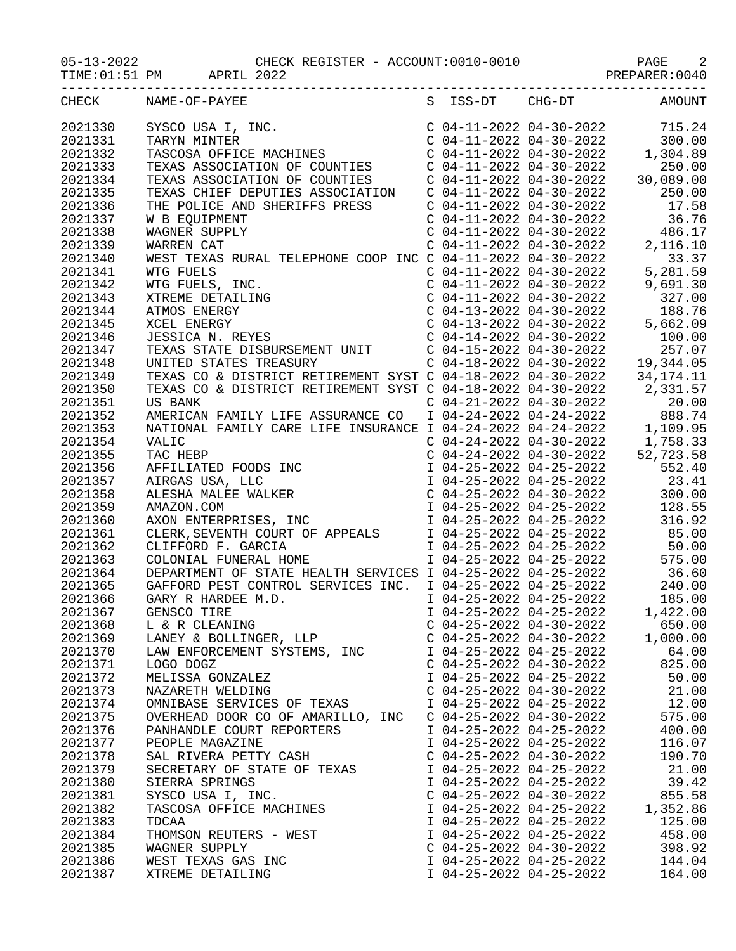TIME:01:51 PM APRIL 2022 2001 APRIL 2022

| CHECK   | NAME-OF-PAYEE                                                                                                                                                                                                                                  |                           | S ISS-DT CHG-DT         | <b>AMOUNT</b>                                                                                                                                                          |
|---------|------------------------------------------------------------------------------------------------------------------------------------------------------------------------------------------------------------------------------------------------|---------------------------|-------------------------|------------------------------------------------------------------------------------------------------------------------------------------------------------------------|
|         |                                                                                                                                                                                                                                                |                           |                         |                                                                                                                                                                        |
| 2021330 |                                                                                                                                                                                                                                                |                           |                         |                                                                                                                                                                        |
| 2021331 |                                                                                                                                                                                                                                                |                           |                         | $\left( \begin{array}{ccc} C & 04-11-2022 & 04-30-2022 & 715.24 \\ C & 04-11-2022 & 04-30-2022 & 300.00 \\ C & 04-11-2022 & 04-30-2022 & 1,304.89 \end{array} \right)$ |
| 2021332 |                                                                                                                                                                                                                                                |                           |                         |                                                                                                                                                                        |
| 2021333 | SYSCO USA I, INC.<br>TARYN MINTER C 04-11-2022 04-30-2022<br>TASCOSA OFFICE MACHINES C 04-11-2022 04-30-2022<br>TEXAS ASSOCIATION OF COUNTIES C 04-11-2022 04-30-2022                                                                          |                           |                         | 250.00                                                                                                                                                                 |
| 2021334 | TEXAS ASSOCIATION OF COUNTIES                                                                                                                                                                                                                  | $C$ 04-11-2022 04-30-2022 |                         | 30,089.00                                                                                                                                                              |
| 2021335 | TEXAS CHIEF DEPUTIES ASSOCIATION C 04-11-2022 04-30-2022                                                                                                                                                                                       |                           |                         | 250.00                                                                                                                                                                 |
| 2021336 | THE POLICE AND SHERIFFS PRESS<br>W B EQUIPMENT<br>WAGNER SUPPLY<br>WARREN CAT                                                                                                                                                                  | $C$ 04-11-2022 04-30-2022 |                         | 17.58                                                                                                                                                                  |
| 2021337 |                                                                                                                                                                                                                                                | $C$ 04-11-2022 04-30-2022 |                         | 36.76                                                                                                                                                                  |
| 2021338 |                                                                                                                                                                                                                                                | $C$ 04-11-2022 04-30-2022 |                         | 486.17                                                                                                                                                                 |
| 2021339 |                                                                                                                                                                                                                                                | $C$ 04-11-2022 04-30-2022 |                         | 2,116.10                                                                                                                                                               |
| 2021340 | WEST TEXAS RURAL TELEPHONE COOP INC C 04-11-2022 04-30-2022                                                                                                                                                                                    |                           |                         | 33.37                                                                                                                                                                  |
| 2021341 |                                                                                                                                                                                                                                                |                           |                         | 5,281.59                                                                                                                                                               |
| 2021342 |                                                                                                                                                                                                                                                |                           |                         |                                                                                                                                                                        |
|         |                                                                                                                                                                                                                                                |                           |                         | 9,691.30                                                                                                                                                               |
| 2021343 |                                                                                                                                                                                                                                                |                           |                         | 327.00                                                                                                                                                                 |
| 2021344 | WEST TEXAS RURAL IDDENOTED C 04-11-2022 04-30-2022<br>WIG FUELS, INC.<br>C 04-11-2022 04-30-2022<br>XTREME DETAILING<br>C 04-11-2022 04-30-2022<br>C 04-13-2022 04-30-2022<br>XCEL ENERGY<br>C 04-13-2022 04-30-2022<br>C 04-14-2022 04-30-202 |                           |                         | 188.76                                                                                                                                                                 |
| 2021345 |                                                                                                                                                                                                                                                |                           |                         | 5,662.09                                                                                                                                                               |
| 2021346 |                                                                                                                                                                                                                                                |                           |                         | 100.00                                                                                                                                                                 |
| 2021347 | TEXAS STATE DISBURSEMENT UNIT<br>UNITED STATES TREASURY C 04-18-2022 04-30-2022                                                                                                                                                                |                           |                         | 257.07                                                                                                                                                                 |
| 2021348 | UNITED STATES TREASURY                                                                                                                                                                                                                         | $C$ 04-18-2022 04-30-2022 |                         | 19, 344.05                                                                                                                                                             |
| 2021349 | TEXAS CO & DISTRICT RETIREMENT SYST C 04-18-2022 04-30-2022                                                                                                                                                                                    |                           |                         | 34, 174. 11                                                                                                                                                            |
| 2021350 | TEXAS CO & DISTRICT RETIREMENT SYST C 04-18-2022 04-30-2022                                                                                                                                                                                    |                           |                         | 2,331.57                                                                                                                                                               |
| 2021351 | US BANK                                                                                                                                                                                                                                        | $C$ 04-21-2022 04-30-2022 |                         | 20.00                                                                                                                                                                  |
| 2021352 |                                                                                                                                                                                                                                                |                           |                         |                                                                                                                                                                        |
| 2021353 | AMERICAN FAMILY LIFE ASSURANCE CO 104-24-2022 04-24-2022<br>NATIONAL FAMILY CARE LIFE INSURANCE I 04-24-2022 04-24-2022<br>C 04-24-2022 04-30-2022 1,758.33<br>C 04-24-2022 04-30-2022 52,723.58                                               |                           |                         |                                                                                                                                                                        |
| 2021354 |                                                                                                                                                                                                                                                |                           |                         |                                                                                                                                                                        |
| 2021355 |                                                                                                                                                                                                                                                |                           |                         |                                                                                                                                                                        |
|         |                                                                                                                                                                                                                                                |                           |                         |                                                                                                                                                                        |
| 2021356 |                                                                                                                                                                                                                                                |                           |                         |                                                                                                                                                                        |
| 2021357 |                                                                                                                                                                                                                                                |                           |                         |                                                                                                                                                                        |
| 2021358 |                                                                                                                                                                                                                                                |                           |                         |                                                                                                                                                                        |
| 2021359 | VALIC CLERE CONTRIBUTION CONTROLLING CONTROLLING CONTROLLING CONTROLLING CONTROLLING CONTROLLING CONTROLLING CONTROLLING CONTROLLING CONTROLLING CONTROLLING CONTROLLING CONTROLLING CONTROLLING CONTROLLING CONTROLLING CONTR                 |                           |                         |                                                                                                                                                                        |
| 2021360 |                                                                                                                                                                                                                                                |                           |                         |                                                                                                                                                                        |
| 2021361 |                                                                                                                                                                                                                                                |                           |                         |                                                                                                                                                                        |
| 2021362 |                                                                                                                                                                                                                                                |                           |                         |                                                                                                                                                                        |
| 2021363 | COLONIAL FUNERAL HOME<br>DEPARTMENT OF STATE HEALTH SERVICES I 04-25-2022 04-25-2022 36.60<br>GAFFORD PEST CONTROL SERVICES INC. I 04-25-2022 04-25-2022 240.00                                                                                |                           |                         |                                                                                                                                                                        |
| 2021364 |                                                                                                                                                                                                                                                |                           |                         |                                                                                                                                                                        |
| 2021365 |                                                                                                                                                                                                                                                |                           |                         |                                                                                                                                                                        |
| 2021366 | GARY R HARDEE M.D.                                                                                                                                                                                                                             |                           | $104-25-202204-25-2022$ | 185.00                                                                                                                                                                 |
| 2021367 | GENSCO TIRE                                                                                                                                                                                                                                    | I 04-25-2022 04-25-2022   |                         | 1,422.00                                                                                                                                                               |
| 2021368 | L & R CLEANING                                                                                                                                                                                                                                 | $C$ 04-25-2022 04-30-2022 |                         | 650.00                                                                                                                                                                 |
| 2021369 | LANEY & BOLLINGER, LLP                                                                                                                                                                                                                         | $C$ 04-25-2022 04-30-2022 |                         | 1,000.00                                                                                                                                                               |
| 2021370 | LAW ENFORCEMENT SYSTEMS, INC                                                                                                                                                                                                                   | I 04-25-2022 04-25-2022   |                         | 64.00                                                                                                                                                                  |
| 2021371 | LOGO DOGZ                                                                                                                                                                                                                                      | $C$ 04-25-2022 04-30-2022 |                         | 825.00                                                                                                                                                                 |
|         |                                                                                                                                                                                                                                                | I 04-25-2022 04-25-2022   |                         |                                                                                                                                                                        |
| 2021372 | MELISSA GONZALEZ                                                                                                                                                                                                                               |                           |                         | 50.00                                                                                                                                                                  |
| 2021373 | NAZARETH WELDING                                                                                                                                                                                                                               | $C$ 04-25-2022 04-30-2022 |                         | 21.00                                                                                                                                                                  |
| 2021374 | OMNIBASE SERVICES OF TEXAS                                                                                                                                                                                                                     | I 04-25-2022 04-25-2022   |                         | 12.00                                                                                                                                                                  |
| 2021375 | OVERHEAD DOOR CO OF AMARILLO, INC                                                                                                                                                                                                              | $C$ 04-25-2022 04-30-2022 |                         | 575.00                                                                                                                                                                 |
| 2021376 | PANHANDLE COURT REPORTERS                                                                                                                                                                                                                      | I 04-25-2022 04-25-2022   |                         | 400.00                                                                                                                                                                 |
| 2021377 | PEOPLE MAGAZINE                                                                                                                                                                                                                                | I 04-25-2022 04-25-2022   |                         | 116.07                                                                                                                                                                 |
| 2021378 | SAL RIVERA PETTY CASH                                                                                                                                                                                                                          | $C$ 04-25-2022 04-30-2022 |                         | 190.70                                                                                                                                                                 |
| 2021379 | SECRETARY OF STATE OF TEXAS                                                                                                                                                                                                                    | I 04-25-2022 04-25-2022   |                         | 21.00                                                                                                                                                                  |
| 2021380 | SIERRA SPRINGS                                                                                                                                                                                                                                 | I 04-25-2022 04-25-2022   |                         | 39.42                                                                                                                                                                  |
| 2021381 | SYSCO USA I, INC.                                                                                                                                                                                                                              | $C$ 04-25-2022 04-30-2022 |                         | 855.58                                                                                                                                                                 |
| 2021382 | TASCOSA OFFICE MACHINES                                                                                                                                                                                                                        | I 04-25-2022 04-25-2022   |                         | 1,352.86                                                                                                                                                               |
| 2021383 | TDCAA                                                                                                                                                                                                                                          | I 04-25-2022 04-25-2022   |                         | 125.00                                                                                                                                                                 |
| 2021384 | THOMSON REUTERS - WEST                                                                                                                                                                                                                         | I 04-25-2022 04-25-2022   |                         | 458.00                                                                                                                                                                 |
| 2021385 | WAGNER SUPPLY                                                                                                                                                                                                                                  | $C$ 04-25-2022 04-30-2022 |                         | 398.92                                                                                                                                                                 |
| 2021386 | WEST TEXAS GAS INC                                                                                                                                                                                                                             | I 04-25-2022 04-25-2022   |                         | 144.04                                                                                                                                                                 |
| 2021387 | XTREME DETAILING                                                                                                                                                                                                                               | I 04-25-2022 04-25-2022   |                         | 164.00                                                                                                                                                                 |
|         |                                                                                                                                                                                                                                                |                           |                         |                                                                                                                                                                        |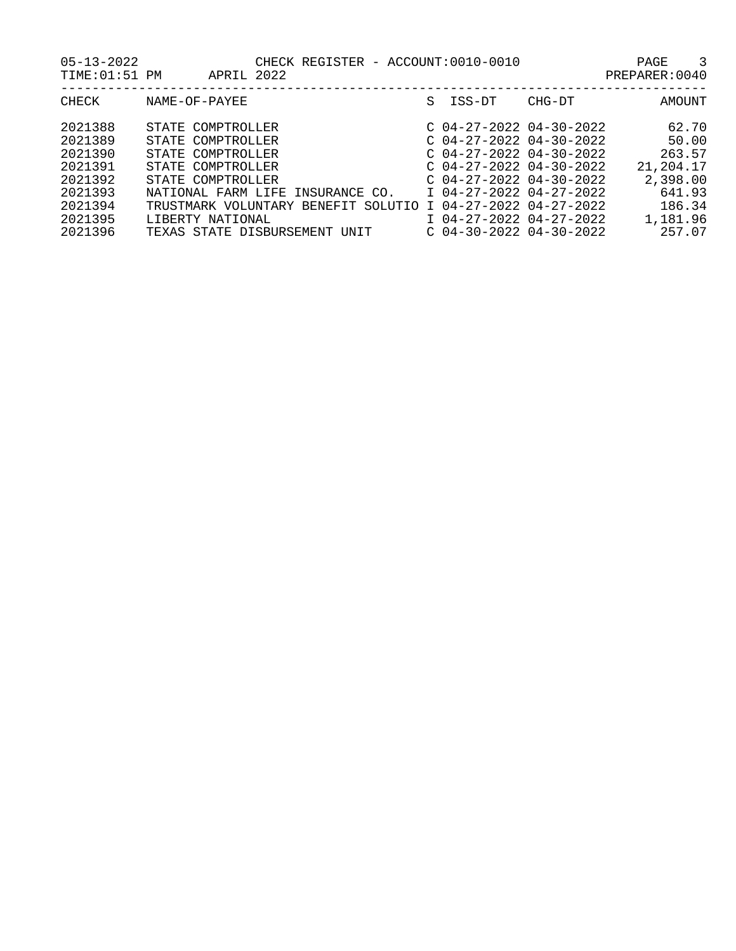| $05 - 13 - 2022$<br>TIME: 01:51 PM                             | CHECK REGISTER - ACCOUNT:0010-0010<br>2022<br>APRIL                                                                                       |   |                                                                                                                                                                          |        | PAGE<br>-3<br>PREPARER: 0040                                |
|----------------------------------------------------------------|-------------------------------------------------------------------------------------------------------------------------------------------|---|--------------------------------------------------------------------------------------------------------------------------------------------------------------------------|--------|-------------------------------------------------------------|
| CHECK                                                          | NAME-OF-PAYEE                                                                                                                             | S | ISS-DT                                                                                                                                                                   | CHG-DT | AMOUNT                                                      |
| 2021388<br>2021389<br>2021390<br>2021391<br>2021392<br>2021393 | STATE COMPTROLLER<br>STATE COMPTROLLER<br>STATE COMPTROLLER<br>STATE COMPTROLLER<br>STATE COMPTROLLER<br>NATIONAL FARM LIFE INSURANCE CO. |   | $C$ 04-27-2022 04-30-2022<br>$C$ 04-27-2022 04-30-2022<br>$C$ 04-27-2022 04-30-2022<br>$C$ 04-27-2022 04-30-2022<br>$C$ 04-27-2022 04-30-2022<br>I 04-27-2022 04-27-2022 |        | 62.70<br>50.00<br>263.57<br>21,204.17<br>2,398.00<br>641.93 |
| 2021394<br>2021395<br>2021396                                  | TRUSTMARK VOLUNTARY BENEFIT<br>LIBERTY NATIONAL<br>TEXAS STATE DISBURSEMENT UNIT                                                          |   | SOLUTIO I 04-27-2022 04-27-2022<br>I 04-27-2022 04-27-2022<br>$C$ 04-30-2022 04-30-2022                                                                                  |        | 186.34<br>1,181.96<br>257.07                                |